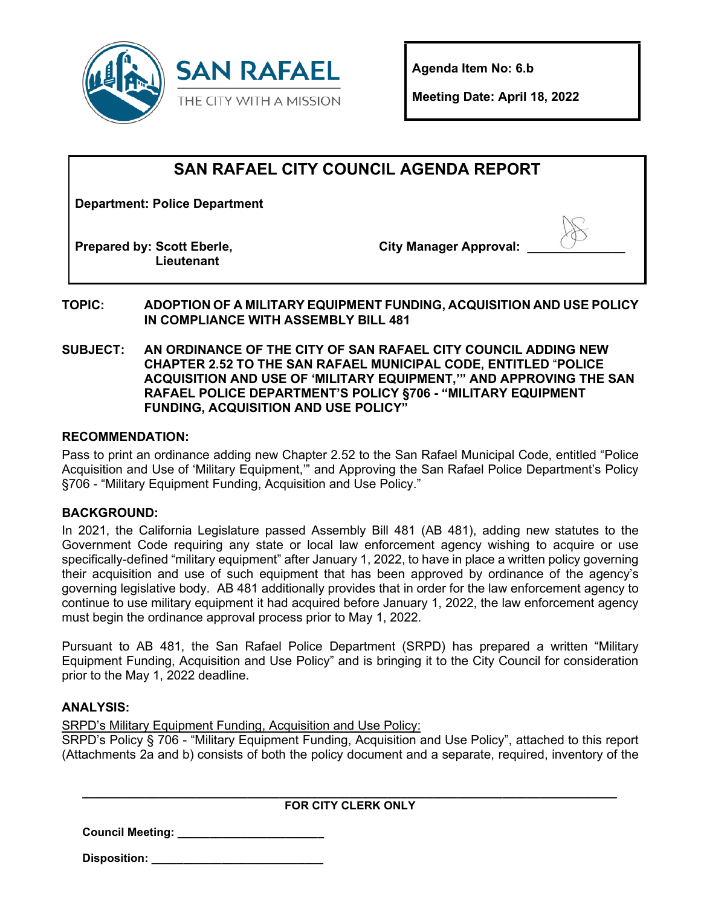

**Agenda Item No: 6.b**

**Meeting Date: April 18, 2022**

## **SAN RAFAEL CITY COUNCIL AGENDA REPORT**

**Department: Police Department**

**Prepared by: Scott Eberle, Lieutenant**

City Manager Approval:

**TOPIC: ADOPTION OF A MILITARY EQUIPMENT FUNDING, ACQUISITION AND USE POLICY IN COMPLIANCE WITH ASSEMBLY BILL 481** 

**SUBJECT: AN ORDINANCE OF THE CITY OF SAN RAFAEL CITY COUNCIL ADDING NEW CHAPTER 2.52 TO THE SAN RAFAEL MUNICIPAL CODE, ENTITLED** "**POLICE ACQUISITION AND USE OF 'MILITARY EQUIPMENT,'" AND APPROVING THE SAN RAFAEL POLICE DEPARTMENT'S POLICY §706 - "MILITARY EQUIPMENT FUNDING, ACQUISITION AND USE POLICY"**

#### **RECOMMENDATION:**

Pass to print an ordinance adding new Chapter 2.52 to the San Rafael Municipal Code, entitled "Police Acquisition and Use of 'Military Equipment,'" and Approving the San Rafael Police Department's Policy §706 - "Military Equipment Funding, Acquisition and Use Policy."

#### **BACKGROUND:**

In 2021, the California Legislature passed Assembly Bill 481 (AB 481), adding new statutes to the Government Code requiring any state or local law enforcement agency wishing to acquire or use specifically-defined "military equipment" after January 1, 2022, to have in place a written policy governing their acquisition and use of such equipment that has been approved by ordinance of the agency's governing legislative body. AB 481 additionally provides that in order for the law enforcement agency to continue to use military equipment it had acquired before January 1, 2022, the law enforcement agency must begin the ordinance approval process prior to May 1, 2022.

Pursuant to AB 481, the San Rafael Police Department (SRPD) has prepared a written "Military Equipment Funding, Acquisition and Use Policy" and is bringing it to the City Council for consideration prior to the May 1, 2022 deadline.

#### **ANALYSIS:**

SRPD's Military Equipment Funding, Acquisition and Use Policy:

SRPD's Policy § 706 - "Military Equipment Funding, Acquisition and Use Policy", attached to this report (Attachments 2a and b) consists of both the policy document and a separate, required, inventory of the

| <b>FOR CITY CLERK ONLY</b> |  |
|----------------------------|--|

**Council Meeting: \_\_\_\_\_\_\_\_\_\_\_\_\_\_\_\_\_\_\_\_\_\_\_**

**Disposition: \_\_\_\_\_\_\_\_\_\_\_\_\_\_\_\_\_\_\_\_\_\_\_\_\_\_\_**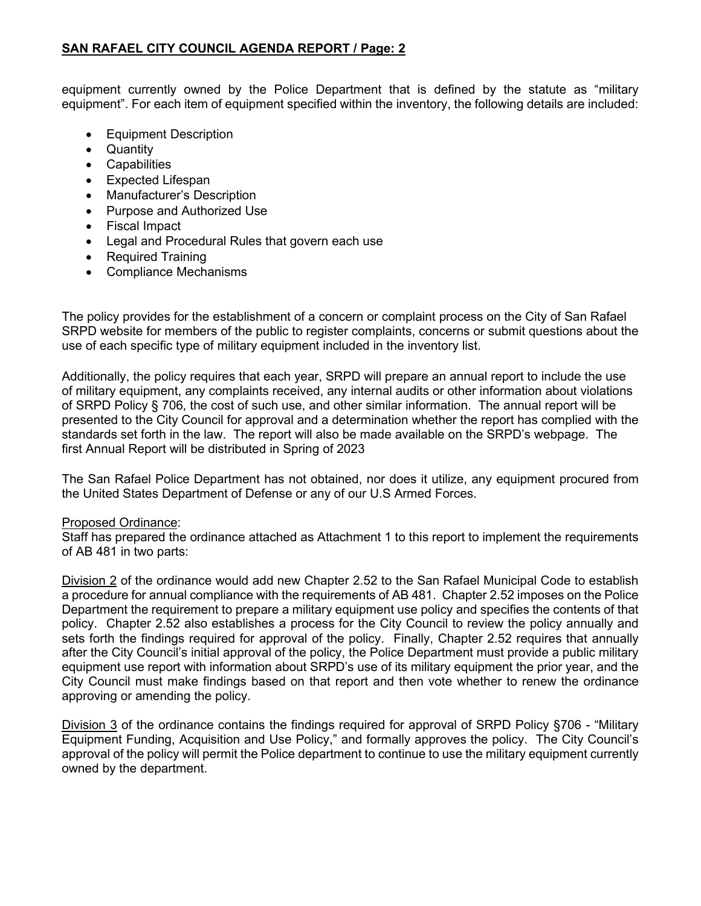equipment currently owned by the Police Department that is defined by the statute as "military equipment". For each item of equipment specified within the inventory, the following details are included:

- Equipment Description
- Quantity
- Capabilities
- Expected Lifespan
- Manufacturer's Description
- Purpose and Authorized Use
- Fiscal Impact
- Legal and Procedural Rules that govern each use
- Required Training
- Compliance Mechanisms

The policy provides for the establishment of a concern or complaint process on the City of San Rafael SRPD website for members of the public to register complaints, concerns or submit questions about the use of each specific type of military equipment included in the inventory list.

Additionally, the policy requires that each year, SRPD will prepare an annual report to include the use of military equipment, any complaints received, any internal audits or other information about violations of SRPD Policy § 706, the cost of such use, and other similar information. The annual report will be presented to the City Council for approval and a determination whether the report has complied with the standards set forth in the law. The report will also be made available on the SRPD's webpage. The first Annual Report will be distributed in Spring of 2023

The San Rafael Police Department has not obtained, nor does it utilize, any equipment procured from the United States Department of Defense or any of our U.S Armed Forces.

#### Proposed Ordinance:

Staff has prepared the ordinance attached as Attachment 1 to this report to implement the requirements of AB 481 in two parts:

Division 2 of the ordinance would add new Chapter 2.52 to the San Rafael Municipal Code to establish a procedure for annual compliance with the requirements of AB 481. Chapter 2.52 imposes on the Police Department the requirement to prepare a military equipment use policy and specifies the contents of that policy. Chapter 2.52 also establishes a process for the City Council to review the policy annually and sets forth the findings required for approval of the policy. Finally, Chapter 2.52 requires that annually after the City Council's initial approval of the policy, the Police Department must provide a public military equipment use report with information about SRPD's use of its military equipment the prior year, and the City Council must make findings based on that report and then vote whether to renew the ordinance approving or amending the policy.

Division 3 of the ordinance contains the findings required for approval of SRPD Policy §706 - "Military Equipment Funding, Acquisition and Use Policy," and formally approves the policy. The City Council's approval of the policy will permit the Police department to continue to use the military equipment currently owned by the department.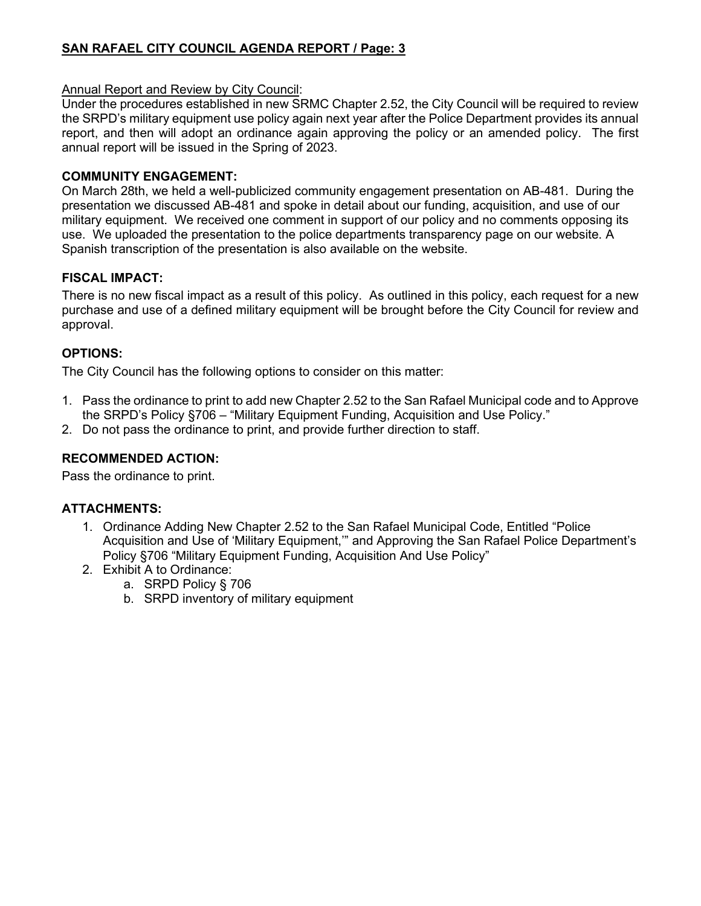## **SAN RAFAEL CITY COUNCIL AGENDA REPORT / Page: 3**

#### Annual Report and Review by City Council:

Under the procedures established in new SRMC Chapter 2.52, the City Council will be required to review the SRPD's military equipment use policy again next year after the Police Department provides its annual report, and then will adopt an ordinance again approving the policy or an amended policy. The first annual report will be issued in the Spring of 2023.

#### **COMMUNITY ENGAGEMENT:**

On March 28th, we held a well-publicized community engagement presentation on AB-481. During the presentation we discussed AB-481 and spoke in detail about our funding, acquisition, and use of our military equipment. We received one comment in support of our policy and no comments opposing its use. We uploaded the presentation to the police departments transparency page on our website. A Spanish transcription of the presentation is also available on the website.

## **FISCAL IMPACT:**

There is no new fiscal impact as a result of this policy. As outlined in this policy, each request for a new purchase and use of a defined military equipment will be brought before the City Council for review and approval.

## **OPTIONS:**

The City Council has the following options to consider on this matter:

- 1. Pass the ordinance to print to add new Chapter 2.52 to the San Rafael Municipal code and to Approve the SRPD's Policy §706 – "Military Equipment Funding, Acquisition and Use Policy."
- 2. Do not pass the ordinance to print, and provide further direction to staff.

#### **RECOMMENDED ACTION:**

Pass the ordinance to print.

## **ATTACHMENTS:**

- 1. Ordinance Adding New Chapter 2.52 to the San Rafael Municipal Code, Entitled "Police Acquisition and Use of 'Military Equipment,'" and Approving the San Rafael Police Department's Policy §706 "Military Equipment Funding, Acquisition And Use Policy"
- 2. Exhibit A to Ordinance:
	- a. SRPD Policy § 706
	- b. SRPD inventory of military equipment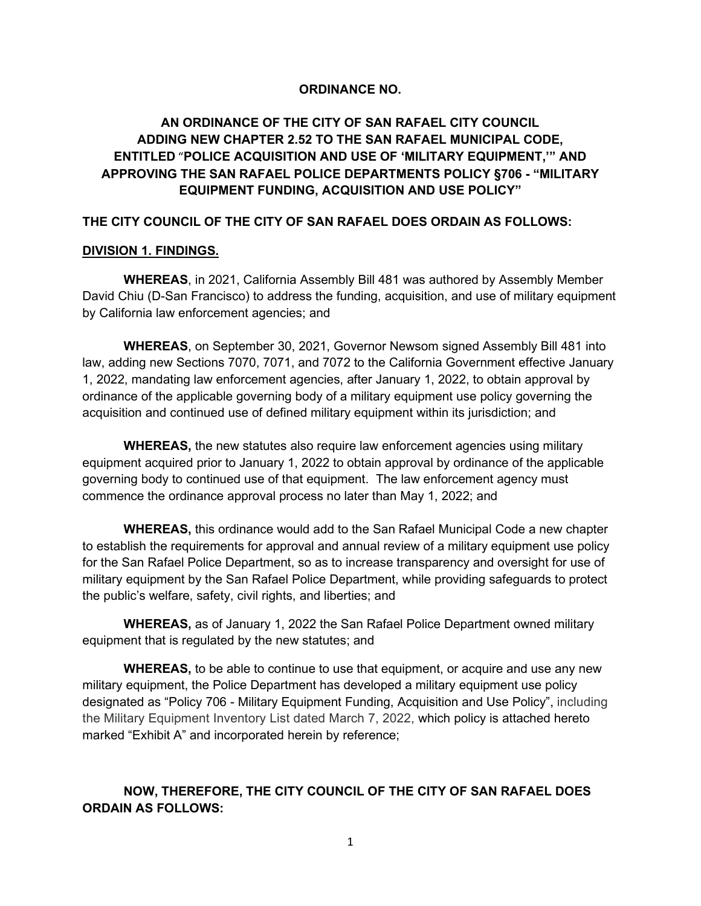#### **ORDINANCE NO.**

## **AN ORDINANCE OF THE CITY OF SAN RAFAEL CITY COUNCIL ADDING NEW CHAPTER 2.52 TO THE SAN RAFAEL MUNICIPAL CODE, ENTITLED** "**POLICE ACQUISITION AND USE OF 'MILITARY EQUIPMENT,'" AND APPROVING THE SAN RAFAEL POLICE DEPARTMENTS POLICY §706 - "MILITARY EQUIPMENT FUNDING, ACQUISITION AND USE POLICY"**

#### **THE CITY COUNCIL OF THE CITY OF SAN RAFAEL DOES ORDAIN AS FOLLOWS:**

#### **DIVISION 1. FINDINGS.**

**WHEREAS**, in 2021, California Assembly Bill 481 was authored by Assembly Member David Chiu (D-San Francisco) to address the funding, acquisition, and use of military equipment by California law enforcement agencies; and

**WHEREAS**, on September 30, 2021, Governor Newsom signed Assembly Bill 481 into law, adding new Sections 7070, 7071, and 7072 to the California Government effective January 1, 2022, mandating law enforcement agencies, after January 1, 2022, to obtain approval by ordinance of the applicable governing body of a military equipment use policy governing the acquisition and continued use of defined military equipment within its jurisdiction; and

**WHEREAS,** the new statutes also require law enforcement agencies using military equipment acquired prior to January 1, 2022 to obtain approval by ordinance of the applicable governing body to continued use of that equipment. The law enforcement agency must commence the ordinance approval process no later than May 1, 2022; and

**WHEREAS,** this ordinance would add to the San Rafael Municipal Code a new chapter to establish the requirements for approval and annual review of a military equipment use policy for the San Rafael Police Department, so as to increase transparency and oversight for use of military equipment by the San Rafael Police Department, while providing safeguards to protect the public's welfare, safety, civil rights, and liberties; and

**WHEREAS,** as of January 1, 2022 the San Rafael Police Department owned military equipment that is regulated by the new statutes; and

**WHEREAS,** to be able to continue to use that equipment, or acquire and use any new military equipment, the Police Department has developed a military equipment use policy designated as "Policy 706 - Military Equipment Funding, Acquisition and Use Policy", including the Military Equipment Inventory List dated March 7, 2022, which policy is attached hereto marked "Exhibit A" and incorporated herein by reference;

## **NOW, THEREFORE, THE CITY COUNCIL OF THE CITY OF SAN RAFAEL DOES ORDAIN AS FOLLOWS:**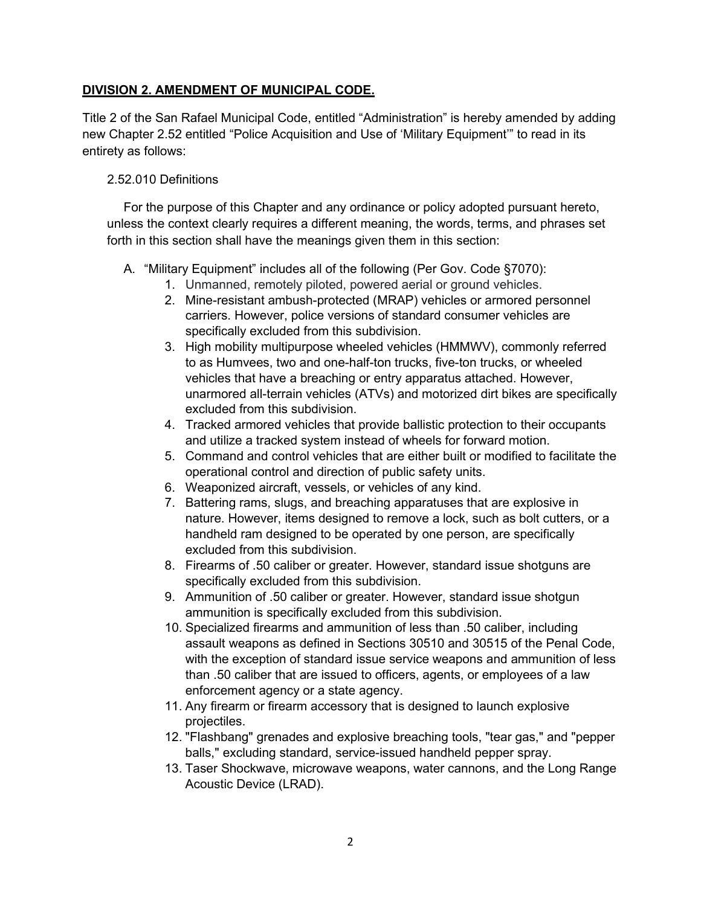#### **DIVISION 2. AMENDMENT OF MUNICIPAL CODE.**

Title 2 of the San Rafael Municipal Code, entitled "Administration" is hereby amended by adding new Chapter 2.52 entitled "Police Acquisition and Use of 'Military Equipment'" to read in its entirety as follows:

#### 2.52.010 Definitions

For the purpose of this Chapter and any ordinance or policy adopted pursuant hereto, unless the context clearly requires a different meaning, the words, terms, and phrases set forth in this section shall have the meanings given them in this section:

- A. "Military Equipment" includes all of the following (Per Gov. Code §7070):
	- 1. Unmanned, remotely piloted, powered aerial or ground vehicles.
	- 2. Mine-resistant ambush-protected (MRAP) vehicles or armored personnel carriers. However, police versions of standard consumer vehicles are specifically excluded from this subdivision.
	- 3. High mobility multipurpose wheeled vehicles (HMMWV), commonly referred to as Humvees, two and one-half-ton trucks, five-ton trucks, or wheeled vehicles that have a breaching or entry apparatus attached. However, unarmored all-terrain vehicles (ATVs) and motorized dirt bikes are specifically excluded from this subdivision.
	- 4. Tracked armored vehicles that provide ballistic protection to their occupants and utilize a tracked system instead of wheels for forward motion.
	- 5. Command and control vehicles that are either built or modified to facilitate the operational control and direction of public safety units.
	- 6. Weaponized aircraft, vessels, or vehicles of any kind.
	- 7. Battering rams, slugs, and breaching apparatuses that are explosive in nature. However, items designed to remove a lock, such as bolt cutters, or a handheld ram designed to be operated by one person, are specifically excluded from this subdivision.
	- 8. Firearms of .50 caliber or greater. However, standard issue shotguns are specifically excluded from this subdivision.
	- 9. Ammunition of .50 caliber or greater. However, standard issue shotgun ammunition is specifically excluded from this subdivision.
	- 10. Specialized firearms and ammunition of less than .50 caliber, including assault weapons as defined in Sections 30510 and 30515 of the Penal Code, with the exception of standard issue service weapons and ammunition of less than .50 caliber that are issued to officers, agents, or employees of a law enforcement agency or a state agency.
	- 11. Any firearm or firearm accessory that is designed to launch explosive projectiles.
	- 12. "Flashbang" grenades and explosive breaching tools, "tear gas," and "pepper balls," excluding standard, service-issued handheld pepper spray.
	- 13. Taser Shockwave, microwave weapons, water cannons, and the Long Range Acoustic Device (LRAD).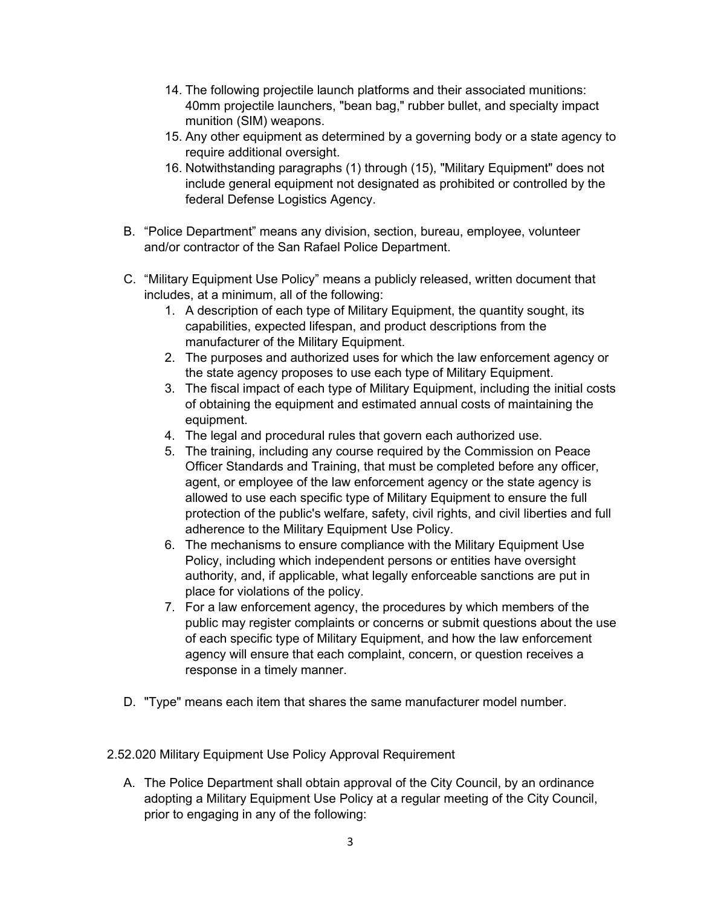- 14. The following projectile launch platforms and their associated munitions: 40mm projectile launchers, "bean bag," rubber bullet, and specialty impact munition (SIM) weapons.
- 15. Any other equipment as determined by a governing body or a state agency to require additional oversight.
- 16. Notwithstanding paragraphs (1) through (15), "Military Equipment" does not include general equipment not designated as prohibited or controlled by the federal Defense Logistics Agency.
- B. "Police Department" means any division, section, bureau, employee, volunteer and/or contractor of the San Rafael Police Department.
- C. "Military Equipment Use Policy" means a publicly released, written document that includes, at a minimum, all of the following:
	- 1. A description of each type of Military Equipment, the quantity sought, its capabilities, expected lifespan, and product descriptions from the manufacturer of the Military Equipment.
	- 2. The purposes and authorized uses for which the law enforcement agency or the state agency proposes to use each type of Military Equipment.
	- 3. The fiscal impact of each type of Military Equipment, including the initial costs of obtaining the equipment and estimated annual costs of maintaining the equipment.
	- 4. The legal and procedural rules that govern each authorized use.
	- 5. The training, including any course required by the Commission on Peace Officer Standards and Training, that must be completed before any officer, agent, or employee of the law enforcement agency or the state agency is allowed to use each specific type of Military Equipment to ensure the full protection of the public's welfare, safety, civil rights, and civil liberties and full adherence to the Military Equipment Use Policy.
	- 6. The mechanisms to ensure compliance with the Military Equipment Use Policy, including which independent persons or entities have oversight authority, and, if applicable, what legally enforceable sanctions are put in place for violations of the policy.
	- 7. For a law enforcement agency, the procedures by which members of the public may register complaints or concerns or submit questions about the use of each specific type of Military Equipment, and how the law enforcement agency will ensure that each complaint, concern, or question receives a response in a timely manner.
- D. "Type" means each item that shares the same manufacturer model number.
- 2.52.020 Military Equipment Use Policy Approval Requirement
	- A. The Police Department shall obtain approval of the City Council, by an ordinance adopting a Military Equipment Use Policy at a regular meeting of the City Council, prior to engaging in any of the following: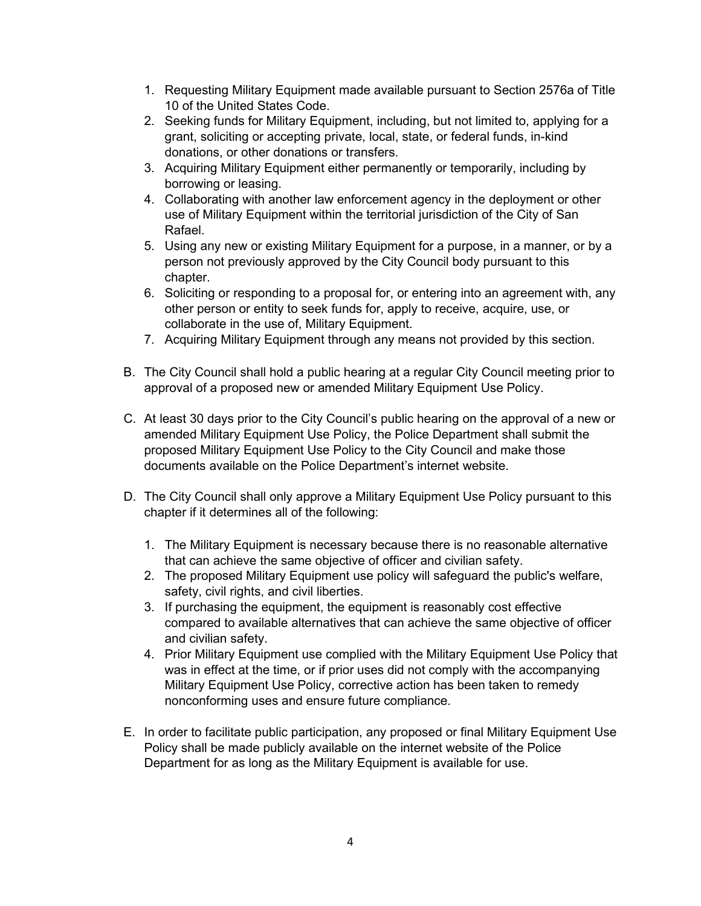- 1. Requesting Military Equipment made available pursuant to Section 2576a of Title 10 of the United States Code.
- 2. Seeking funds for Military Equipment, including, but not limited to, applying for a grant, soliciting or accepting private, local, state, or federal funds, in-kind donations, or other donations or transfers.
- 3. Acquiring Military Equipment either permanently or temporarily, including by borrowing or leasing.
- 4. Collaborating with another law enforcement agency in the deployment or other use of Military Equipment within the territorial jurisdiction of the City of San Rafael.
- 5. Using any new or existing Military Equipment for a purpose, in a manner, or by a person not previously approved by the City Council body pursuant to this chapter.
- 6. Soliciting or responding to a proposal for, or entering into an agreement with, any other person or entity to seek funds for, apply to receive, acquire, use, or collaborate in the use of, Military Equipment.
- 7. Acquiring Military Equipment through any means not provided by this section.
- B. The City Council shall hold a public hearing at a regular City Council meeting prior to approval of a proposed new or amended Military Equipment Use Policy.
- C. At least 30 days prior to the City Council's public hearing on the approval of a new or amended Military Equipment Use Policy, the Police Department shall submit the proposed Military Equipment Use Policy to the City Council and make those documents available on the Police Department's internet website.
- D. The City Council shall only approve a Military Equipment Use Policy pursuant to this chapter if it determines all of the following:
	- 1. The Military Equipment is necessary because there is no reasonable alternative that can achieve the same objective of officer and civilian safety.
	- 2. The proposed Military Equipment use policy will safeguard the public's welfare, safety, civil rights, and civil liberties.
	- 3. If purchasing the equipment, the equipment is reasonably cost effective compared to available alternatives that can achieve the same objective of officer and civilian safety.
	- 4. Prior Military Equipment use complied with the Military Equipment Use Policy that was in effect at the time, or if prior uses did not comply with the accompanying Military Equipment Use Policy, corrective action has been taken to remedy nonconforming uses and ensure future compliance.
- E. In order to facilitate public participation, any proposed or final Military Equipment Use Policy shall be made publicly available on the internet website of the Police Department for as long as the Military Equipment is available for use.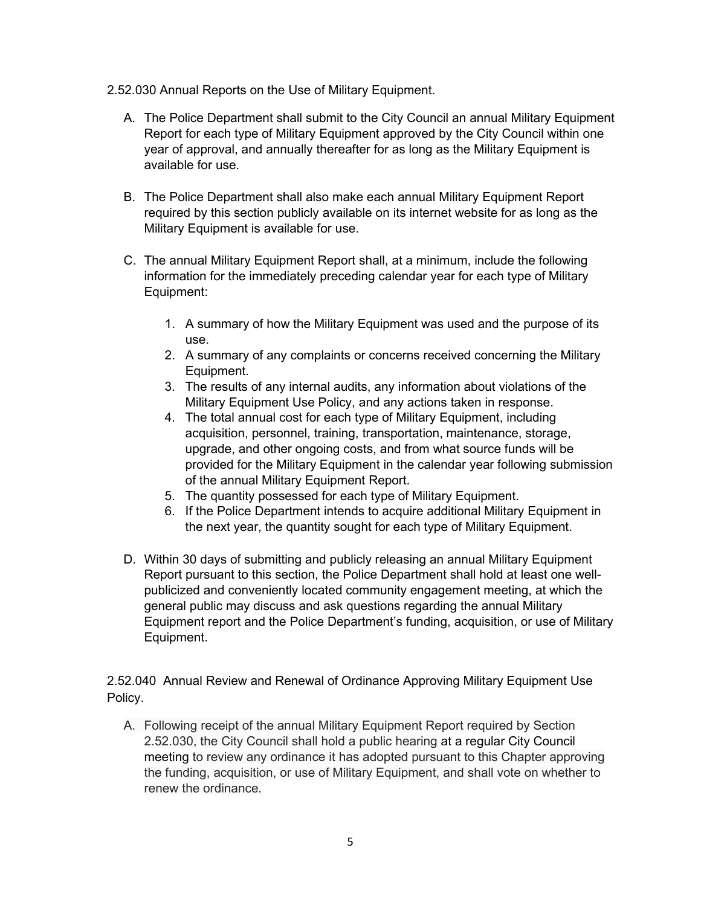- 2.52.030 Annual Reports on the Use of Military Equipment.
	- A. The Police Department shall submit to the City Council an annual Military Equipment Report for each type of Military Equipment approved by the City Council within one year of approval, and annually thereafter for as long as the Military Equipment is available for use.
	- B. The Police Department shall also make each annual Military Equipment Report required by this section publicly available on its internet website for as long as the Military Equipment is available for use.
	- C. The annual Military Equipment Report shall, at a minimum, include the following information for the immediately preceding calendar year for each type of Military Equipment:
		- 1. A summary of how the Military Equipment was used and the purpose of its use.
		- 2. A summary of any complaints or concerns received concerning the Military Equipment.
		- 3. The results of any internal audits, any information about violations of the Military Equipment Use Policy, and any actions taken in response.
		- 4. The total annual cost for each type of Military Equipment, including acquisition, personnel, training, transportation, maintenance, storage, upgrade, and other ongoing costs, and from what source funds will be provided for the Military Equipment in the calendar year following submission of the annual Military Equipment Report.
		- 5. The quantity possessed for each type of Military Equipment.
		- 6. If the Police Department intends to acquire additional Military Equipment in the next year, the quantity sought for each type of Military Equipment.
	- D. Within 30 days of submitting and publicly releasing an annual Military Equipment Report pursuant to this section, the Police Department shall hold at least one wellpublicized and conveniently located community engagement meeting, at which the general public may discuss and ask questions regarding the annual Military Equipment report and the Police Department's funding, acquisition, or use of Military Equipment.

2.52.040 Annual Review and Renewal of Ordinance Approving Military Equipment Use Policy.

A. Following receipt of the annual Military Equipment Report required by Section 2.52.030, the City Council shall hold a public hearing at a regular City Council meeting to review any ordinance it has adopted pursuant to this Chapter approving the funding, acquisition, or use of Military Equipment, and shall vote on whether to renew the ordinance.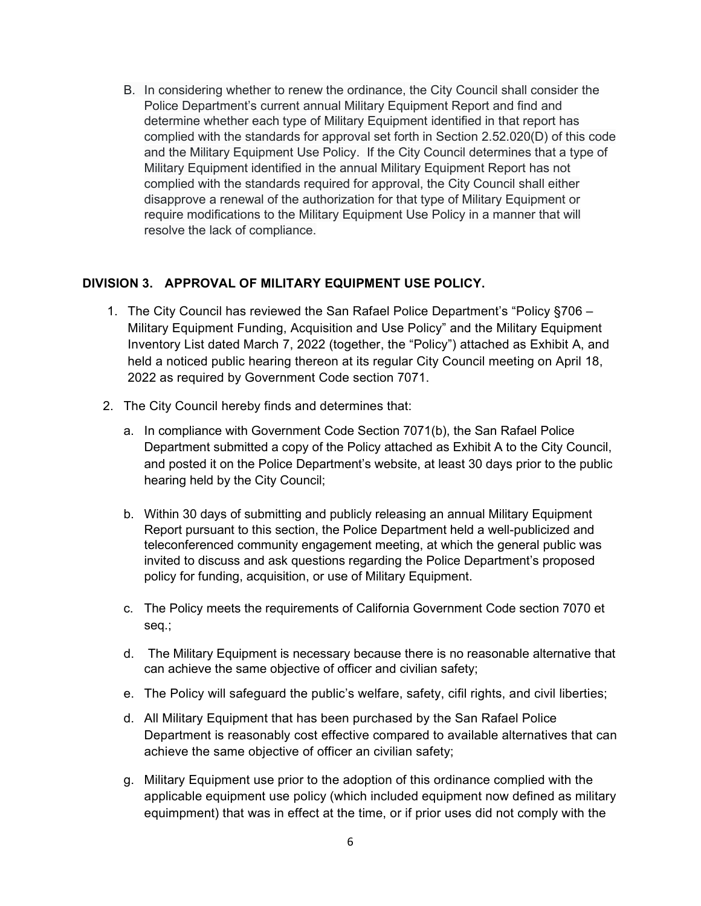B. In considering whether to renew the ordinance, the City Council shall consider the Police Department's current annual Military Equipment Report and find and determine whether each type of Military Equipment identified in that report has complied with the standards for approval set forth in Section 2.52.020(D) of this code and the Military Equipment Use Policy. If the City Council determines that a type of Military Equipment identified in the annual Military Equipment Report has not complied with the standards required for approval, the City Council shall either disapprove a renewal of the authorization for that type of Military Equipment or require modifications to the Military Equipment Use Policy in a manner that will resolve the lack of compliance.

#### **DIVISION 3. APPROVAL OF MILITARY EQUIPMENT USE POLICY.**

- 1. The City Council has reviewed the San Rafael Police Department's "Policy §706 Military Equipment Funding, Acquisition and Use Policy" and the Military Equipment Inventory List dated March 7, 2022 (together, the "Policy") attached as Exhibit A, and held a noticed public hearing thereon at its regular City Council meeting on April 18, 2022 as required by Government Code section 7071.
- 2. The City Council hereby finds and determines that:
	- a. In compliance with Government Code Section 7071(b), the San Rafael Police Department submitted a copy of the Policy attached as Exhibit A to the City Council, and posted it on the Police Department's website, at least 30 days prior to the public hearing held by the City Council;
	- b. Within 30 days of submitting and publicly releasing an annual Military Equipment Report pursuant to this section, the Police Department held a well-publicized and teleconferenced community engagement meeting, at which the general public was invited to discuss and ask questions regarding the Police Department's proposed policy for funding, acquisition, or use of Military Equipment.
	- c. The Policy meets the requirements of California Government Code section 7070 et seq.;
	- d. The Military Equipment is necessary because there is no reasonable alternative that can achieve the same objective of officer and civilian safety;
	- e. The Policy will safeguard the public's welfare, safety, cifil rights, and civil liberties;
	- d. All Military Equipment that has been purchased by the San Rafael Police Department is reasonably cost effective compared to available alternatives that can achieve the same objective of officer an civilian safety;
	- g. Military Equipment use prior to the adoption of this ordinance complied with the applicable equipment use policy (which included equipment now defined as military equimpment) that was in effect at the time, or if prior uses did not comply with the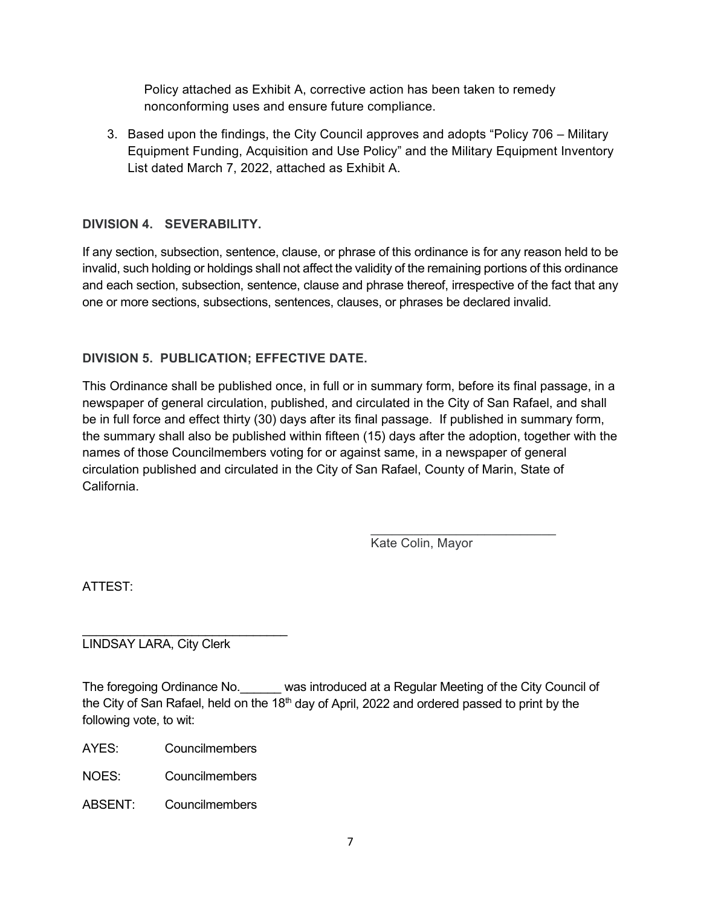Policy attached as Exhibit A, corrective action has been taken to remedy nonconforming uses and ensure future compliance.

3. Based upon the findings, the City Council approves and adopts "Policy 706 – Military Equipment Funding, Acquisition and Use Policy" and the Military Equipment Inventory List dated March 7, 2022, attached as Exhibit A.

## **DIVISION 4. SEVERABILITY.**

If any section, subsection, sentence, clause, or phrase of this ordinance is for any reason held to be invalid, such holding or holdings shall not affect the validity of the remaining portions of this ordinance and each section, subsection, sentence, clause and phrase thereof, irrespective of the fact that any one or more sections, subsections, sentences, clauses, or phrases be declared invalid.

## **DIVISION 5. PUBLICATION; EFFECTIVE DATE.**

This Ordinance shall be published once, in full or in summary form, before its final passage, in a newspaper of general circulation, published, and circulated in the City of San Rafael, and shall be in full force and effect thirty (30) days after its final passage. If published in summary form, the summary shall also be published within fifteen (15) days after the adoption, together with the names of those Councilmembers voting for or against same, in a newspaper of general circulation published and circulated in the City of San Rafael, County of Marin, State of California.

> $\overline{\phantom{a}}$  , where  $\overline{\phantom{a}}$  , where  $\overline{\phantom{a}}$  , where  $\overline{\phantom{a}}$ Kate Colin, Mayor

ATTEST:

\_\_\_\_\_\_\_\_\_\_\_\_\_\_\_\_\_\_\_\_\_\_\_\_\_\_\_\_\_\_ LINDSAY LARA, City Clerk

The foregoing Ordinance No. \_\_\_\_\_\_ was introduced at a Regular Meeting of the City Council of the City of San Rafael, held on the 18<sup>th</sup> day of April, 2022 and ordered passed to print by the following vote, to wit:

AYES: Councilmembers

NOES: Councilmembers

ABSENT: Councilmembers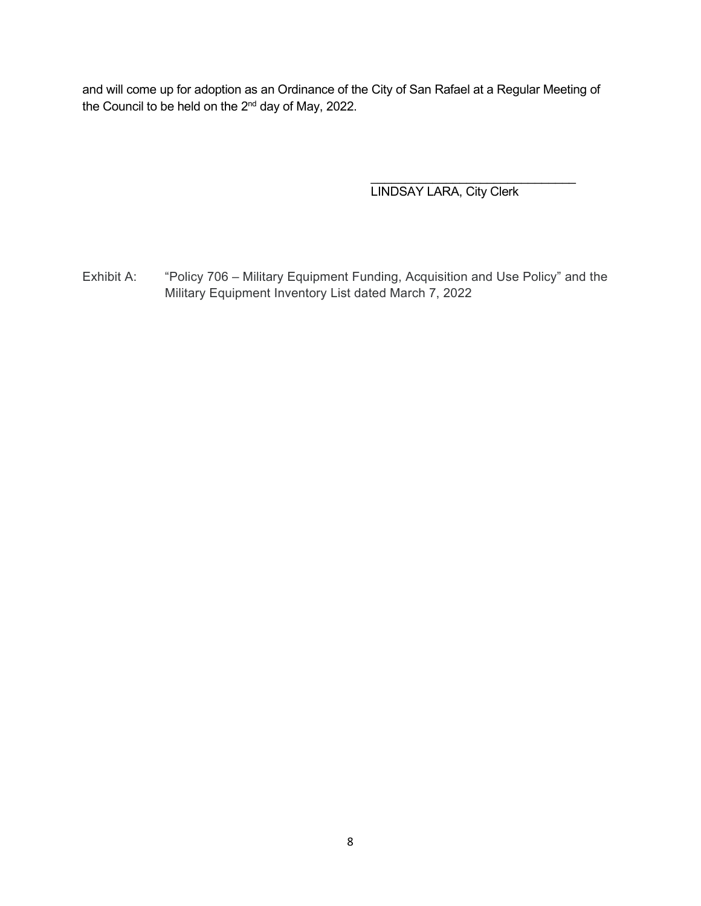and will come up for adoption as an Ordinance of the City of San Rafael at a Regular Meeting of the Council to be held on the 2<sup>nd</sup> day of May, 2022.

> \_\_\_\_\_\_\_\_\_\_\_\_\_\_\_\_\_\_\_\_\_\_\_\_\_\_\_\_\_\_ LINDSAY LARA, City Clerk

Exhibit A: "Policy 706 – Military Equipment Funding, Acquisition and Use Policy" and the Military Equipment Inventory List dated March 7, 2022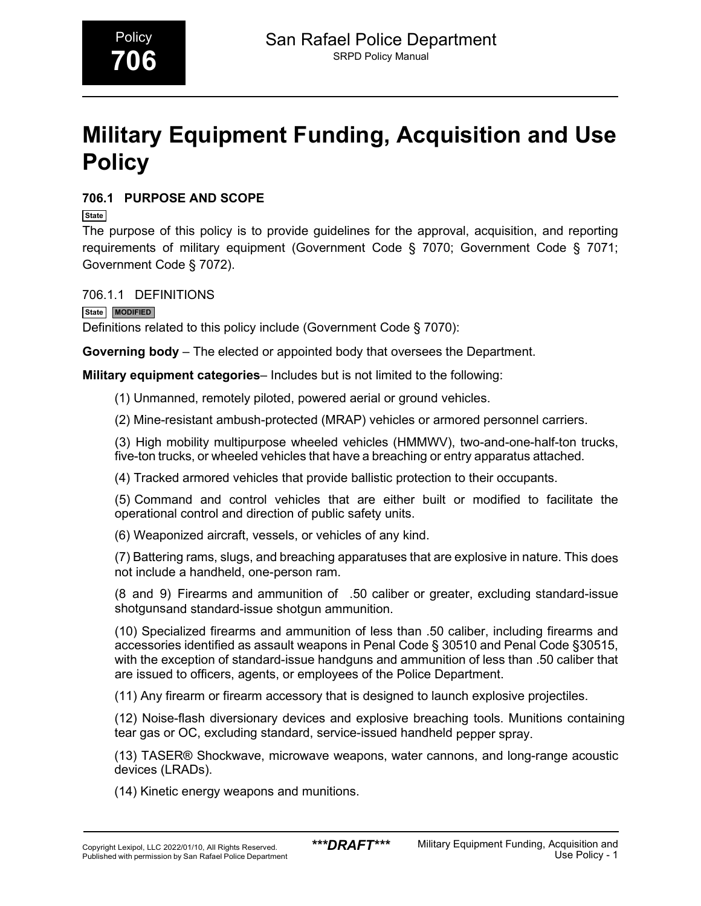# **Military Equipment Funding, Acquisition and Use Policy**

## **706.1 PURPOSE AND SCOPE**

**State**

The purpose of this policy is to provide guidelines for the approval, acquisition, and reporting requirements of military equipment (Government Code § 7070; Government Code § 7071; Government Code § 7072).

706.1.1 DEFINITIONS

**State MODIFIED**

Definitions related to this policy include (Government Code § 7070):

**Governing body** – The elected or appointed body that oversees the Department.

**Military equipment categories**– Includes but is not limited to the following:

(1) Unmanned, remotely piloted, powered aerial or ground vehicles.

(2) Mine-resistant ambush-protected (MRAP) vehicles or armored personnel carriers.

(3) High mobility multipurpose wheeled vehicles (HMMWV), two-and-one-half-ton trucks, five-ton trucks, or wheeled vehicles that have a breaching or entry apparatus attached.

(4) Tracked armored vehicles that provide ballistic protection to their occupants.

(5) Command and control vehicles that are either built or modified to facilitate the operational control and direction of public safety units.

(6) Weaponized aircraft, vessels, or vehicles of any kind.

(7) Battering rams, slugs, and breaching apparatuses that are explosive in nature. This does not include a handheld, one-person ram.

(8 and 9) Firearms and ammunition of .50 caliber or greater, excluding standard-issue shotgunsand standard-issue shotgun ammunition.

(10) Specialized firearms and ammunition of less than .50 caliber, including firearms and accessories identified as assault weapons in Penal Code § 30510 and Penal Code §30515, with the exception of standard-issue handguns and ammunition of less than .50 caliber that are issued to officers, agents, or employees of the Police Department.

(11) Any firearm or firearm accessory that is designed to launch explosive projectiles.

(12) Noise-flash diversionary devices and explosive breaching tools. Munitions containing tear gas or OC, excluding standard, service-issued handheld pepper spray.

(13) TASER® Shockwave, microwave weapons, water cannons, and long-range acoustic devices (LRADs).

(14) Kinetic energy weapons and munitions.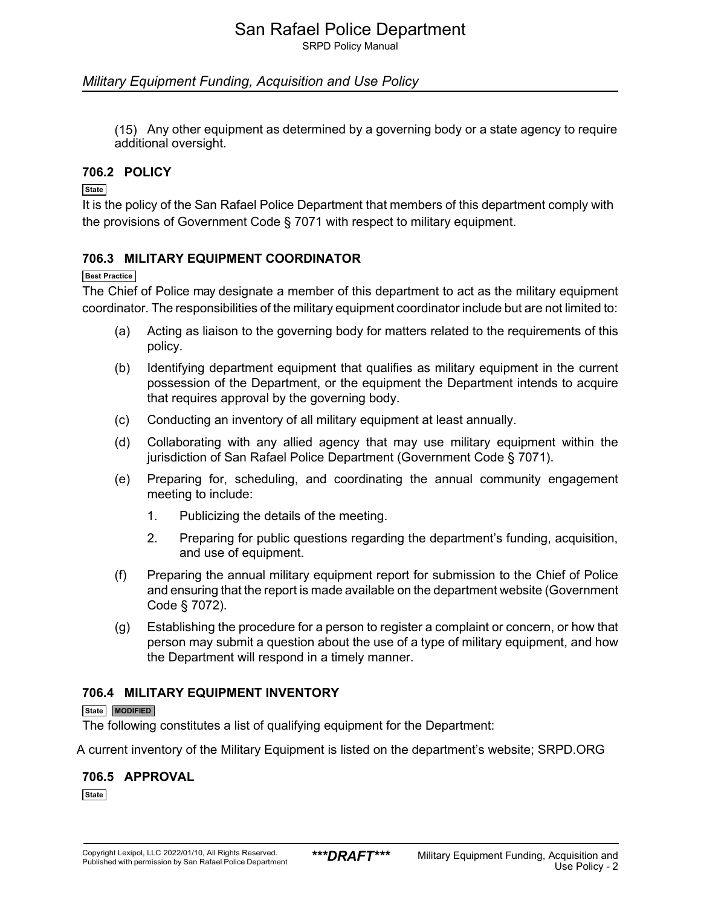SRPD Policy Manual

#### *Military Equipment Funding, Acquisition and Use Policy*

(15) Any other equipment as determined by a governing body or a state agency to require additional oversight.

#### **706.2 POLICY**

#### **State**

It is the policy of the San Rafael Police Department that members of this department comply with the provisions of Government Code § 7071 with respect to military equipment.

#### **706.3 MILITARY EQUIPMENT COORDINATOR**

#### **Best Practice**

The Chief of Police may designate a member of this department to act as the military equipment coordinator. The responsibilities of the military equipment coordinator include but are not limited to:

- (a) Acting as liaison to the governing body for matters related to the requirements of this policy.
- (b) Identifying department equipment that qualifies as military equipment in the current possession of the Department, or the equipment the Department intends to acquire that requires approval by the governing body.
- (c) Conducting an inventory of all military equipment at least annually.
- (d) Collaborating with any allied agency that may use military equipment within the jurisdiction of San Rafael Police Department (Government Code § 7071).
- (e) Preparing for, scheduling, and coordinating the annual community engagement meeting to include:
	- 1. Publicizing the details of the meeting.
	- 2. Preparing for public questions regarding the department's funding, acquisition, and use of equipment.
- (f) Preparing the annual military equipment report for submission to the Chief of Police and ensuring that the report is made available on the department website (Government Code § 7072).
- (g) Establishing the procedure for a person to register a complaint or concern, or how that person may submit a question about the use of a type of military equipment, and how the Department will respond in a timely manner.

#### **706.4 MILITARY EQUIPMENT INVENTORY**

#### **State MODIFIED**

The following constitutes a list of qualifying equipment for the Department:

A current inventory of the Military Equipment is listed on the department's website; SRPD.ORG

## **706.5 APPROVAL**

**State**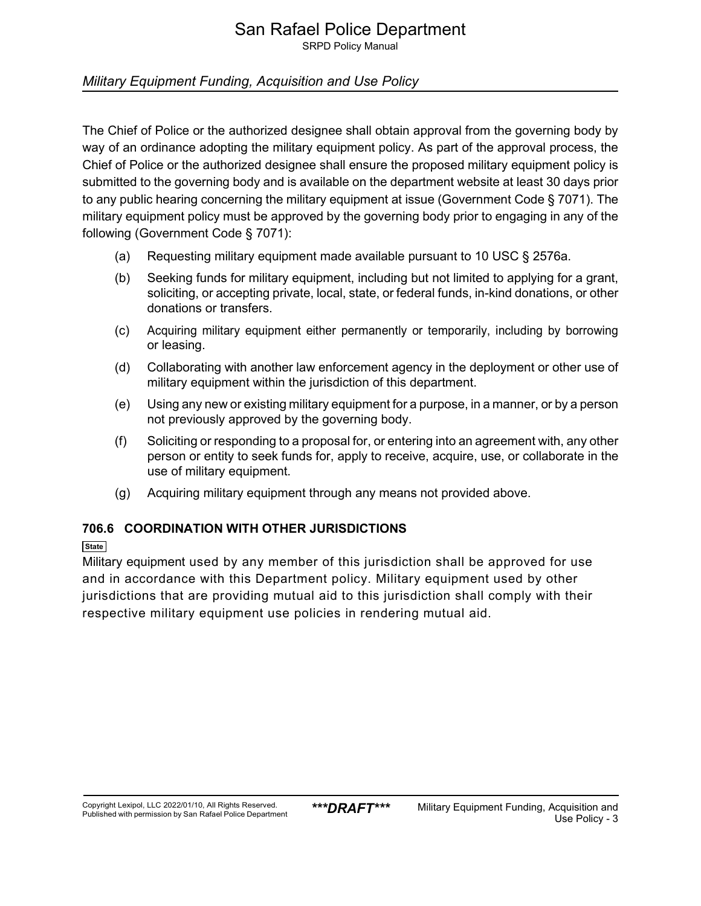# San Rafael Police Department

SRPD Policy Manual

## *Military Equipment Funding, Acquisition and Use Policy*

The Chief of Police or the authorized designee shall obtain approval from the governing body by way of an ordinance adopting the military equipment policy. As part of the approval process, the Chief of Police or the authorized designee shall ensure the proposed military equipment policy is submitted to the governing body and is available on the department website at least 30 days prior to any public hearing concerning the military equipment at issue (Government Code § 7071). The military equipment policy must be approved by the governing body prior to engaging in any of the following (Government Code § 7071):

- (a) Requesting military equipment made available pursuant to 10 USC § 2576a.
- (b) Seeking funds for military equipment, including but not limited to applying for a grant, soliciting, or accepting private, local, state, or federal funds, in-kind donations, or other donations or transfers.
- (c) Acquiring military equipment either permanently or temporarily, including by borrowing or leasing.
- (d) Collaborating with another law enforcement agency in the deployment or other use of military equipment within the jurisdiction of this department.
- (e) Using any new or existing military equipment for a purpose, in a manner, or by a person not previously approved by the governing body.
- (f) Soliciting or responding to a proposal for, or entering into an agreement with, any other person or entity to seek funds for, apply to receive, acquire, use, or collaborate in the use of military equipment.
- (g) Acquiring military equipment through any means not provided above.

## **706.6 COORDINATION WITH OTHER JURISDICTIONS**

#### **State**

Military equipment used by any member of this jurisdiction shall be approved for use and in accordance with this Department policy. Military equipment used by other jurisdictions that are providing mutual aid to this jurisdiction shall comply with their respective military equipment use policies in rendering mutual aid.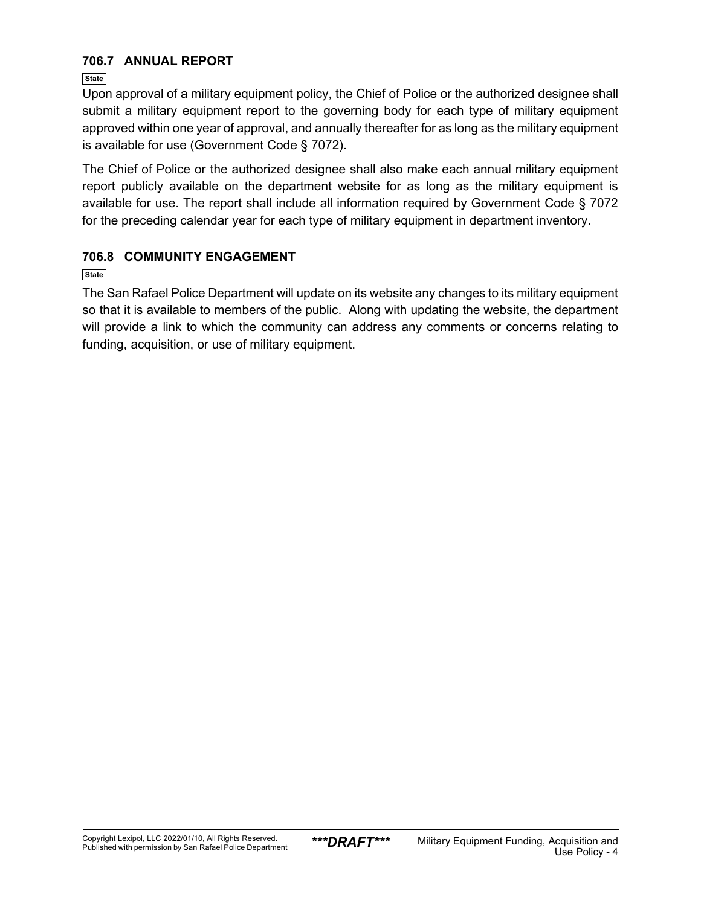## **706.7 ANNUAL REPORT**

**State**

Upon approval of a military equipment policy, the Chief of Police or the authorized designee shall submit a military equipment report to the governing body for each type of military equipment approved within one year of approval, and annually thereafter for as long as the military equipment is available for use (Government Code § 7072).

The Chief of Police or the authorized designee shall also make each annual military equipment report publicly available on the department website for as long as the military equipment is available for use. The report shall include all information required by Government Code § 7072 for the preceding calendar year for each type of military equipment in department inventory.

## **706.8 COMMUNITY ENGAGEMENT**

**State**

The San Rafael Police Department will update on its website any changes to its military equipment so that it is available to members of the public. Along with updating the website, the department will provide a link to which the community can address any comments or concerns relating to funding, acquisition, or use of military equipment.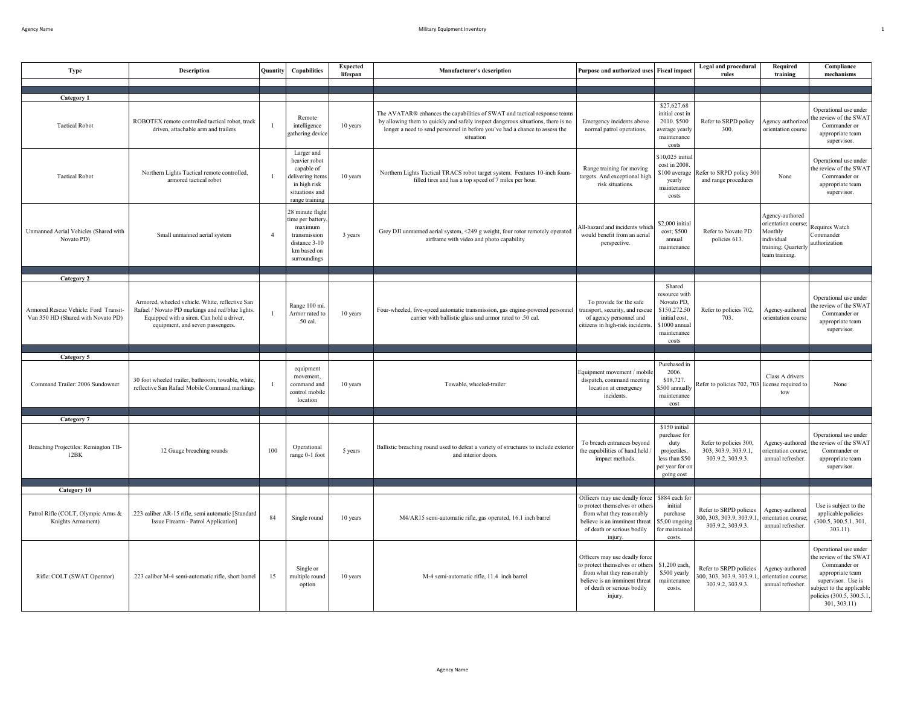| Type                                                                                      | <b>Description</b>                                                                                                                                                                   | Quantity       | Capabilities                                                                                                      | <b>Expected</b><br>lifespan | <b>Manufacturer's description</b>                                                                                                                                                                                                                         | Purpose and authorized uses                                                                                                                                             | <b>Fiscal</b> impact                                                                                             | <b>Legal and procedural</b><br>rules                                     | Required<br>training                                                                                    | Compliance<br>mechanisms                                                                                                                                                         |
|-------------------------------------------------------------------------------------------|--------------------------------------------------------------------------------------------------------------------------------------------------------------------------------------|----------------|-------------------------------------------------------------------------------------------------------------------|-----------------------------|-----------------------------------------------------------------------------------------------------------------------------------------------------------------------------------------------------------------------------------------------------------|-------------------------------------------------------------------------------------------------------------------------------------------------------------------------|------------------------------------------------------------------------------------------------------------------|--------------------------------------------------------------------------|---------------------------------------------------------------------------------------------------------|----------------------------------------------------------------------------------------------------------------------------------------------------------------------------------|
|                                                                                           |                                                                                                                                                                                      |                |                                                                                                                   |                             |                                                                                                                                                                                                                                                           |                                                                                                                                                                         |                                                                                                                  |                                                                          |                                                                                                         |                                                                                                                                                                                  |
| <b>Category 1</b>                                                                         |                                                                                                                                                                                      |                |                                                                                                                   |                             |                                                                                                                                                                                                                                                           |                                                                                                                                                                         |                                                                                                                  |                                                                          |                                                                                                         |                                                                                                                                                                                  |
| <b>Tactical Robot</b>                                                                     | ROBOTEX remote controlled tactical robot, track<br>driven, attachable arm and trailers                                                                                               |                | Remote<br>intelligence<br>gathering device                                                                        | 10 years                    | The AVATAR® enhances the capabilities of SWAT and tactical response teams<br>by allowing them to quickly and safely inspect dangerous situations, there is no<br>longer a need to send personnel in before you've had a chance to assess the<br>situation | Emergency incidents above<br>normal patrol operations.                                                                                                                  | \$27,627.68<br>initial cost in<br>2010. \$500<br>average yearly<br>maintenance<br>costs                          | Refer to SRPD policy<br>300.                                             | Agency authorized<br>orientation course                                                                 | Operational use under<br>he review of the SWAT<br>Commander or<br>appropriate team<br>supervisor.                                                                                |
| <b>Tactical Robot</b>                                                                     | Northern Lights Tactical remote controlled,<br>armored tactical robot                                                                                                                | $\mathbf{1}$   | Larger and<br>heavier robot<br>capable of<br>delivering items<br>in high risk<br>situations and<br>range training | 10 years                    | Northern Lights Tactical TRACS robot target system. Features 10-inch foam-<br>filled tires and has a top speed of 7 miles per hour.                                                                                                                       | Range training for moving<br>targets. And exceptional high<br>risk situations.                                                                                          | \$10,025 initia<br>cost in 2008.<br>\$100 average<br>yearly<br>maintenance<br>costs                              | Refer to SRPD policy 300<br>and range procedures                         | None                                                                                                    | Operational use under<br>the review of the SWA1<br>Commander or<br>appropriate team<br>supervisor.                                                                               |
| Unmanned Aerial Vehicles (Shared with<br>Novato PD)                                       | Small unmanned aerial system                                                                                                                                                         | $\overline{4}$ | 28 minute flight<br>ime per battery<br>maximum<br>transmission<br>distance 3-10<br>km based on<br>surroundings    | 3 years                     | Grey DJI unmanned aerial system, <249 g weight, four rotor remotely operated<br>airframe with video and photo capability                                                                                                                                  | All-hazard and incidents which<br>would benefit from an aerial<br>perspective.                                                                                          | \$2,000 initial<br>cost; \$500<br>annual<br>maintenance                                                          | Refer to Novato PD<br>policies 613.                                      | Agency-authored<br>orientation course<br>Monthly<br>individual<br>training; Quarterly<br>team training. | Requires Watch<br>Commander<br>authorization                                                                                                                                     |
|                                                                                           |                                                                                                                                                                                      |                |                                                                                                                   |                             |                                                                                                                                                                                                                                                           |                                                                                                                                                                         |                                                                                                                  |                                                                          |                                                                                                         |                                                                                                                                                                                  |
| Category 2<br>Armored Rescue Vehicle: Ford Transit-<br>Van 350 HD (Shared with Novato PD) | Armored, wheeled vehicle. White, reflective San<br>Rafael / Novato PD markings and red/blue lights.<br>Equipped with a siren. Can hold a driver,<br>equipment, and seven passengers. | $\mathbf{1}$   | Range 100 mi<br>Armor rated to<br>.50 cal.                                                                        | 10 years                    | Four-wheeled, five-speed automatic transmission, gas engine-powered personnel<br>carrier with ballistic glass and armor rated to .50 cal.                                                                                                                 | To provide for the safe<br>transport, security, and rescu-<br>of agency personnel and<br>citizens in high-risk incidents                                                | Shared<br>resource with<br>Novato PD,<br>\$150,272.50<br>initial cost,<br>$$1000$ annual<br>maintenance<br>costs | Refer to policies 702,<br>703.                                           | Agency-authored<br>prientation course                                                                   | Operational use under<br>he review of the SWAT<br>Commander or<br>appropriate team<br>supervisor.                                                                                |
|                                                                                           |                                                                                                                                                                                      |                |                                                                                                                   |                             |                                                                                                                                                                                                                                                           |                                                                                                                                                                         |                                                                                                                  |                                                                          |                                                                                                         |                                                                                                                                                                                  |
| Category 5<br>Command Trailer: 2006 Sundowner                                             | 30 foot wheeled trailer, bathroom, towable, white,<br>reflective San Rafael Mobile Command markings                                                                                  |                | equipment<br>movement,<br>command and<br>control mobile<br>location                                               | 10 years                    | Towable, wheeled-trailer                                                                                                                                                                                                                                  | Equipment movement / mobile<br>dispatch, command meeting<br>location at emergency<br>incidents.                                                                         | Purchased in<br>2006.<br>\$18,727.<br>\$500 annually<br>maintenance<br>cost                                      | Refer to policies 702, 703 license required to                           | Class A drivers<br>tow                                                                                  | None                                                                                                                                                                             |
| Category 7                                                                                |                                                                                                                                                                                      |                |                                                                                                                   |                             |                                                                                                                                                                                                                                                           |                                                                                                                                                                         |                                                                                                                  |                                                                          |                                                                                                         |                                                                                                                                                                                  |
| Breaching Projectiles: Remington TB-<br>12BK                                              | 12 Gauge breaching rounds                                                                                                                                                            | 100            | Operational<br>range 0-1 foot                                                                                     | 5 years                     | Ballistic breaching round used to defeat a variety of structures to include exterio<br>and interior doors.                                                                                                                                                | To breach entrances beyond<br>the capabilities of hand held.<br>impact methods.                                                                                         | \$150 initial<br>purchase for<br>duty<br>projectiles,<br>less than \$50<br>per year for or<br>going cost         | Refer to policies 300,<br>303, 303.9, 303.9.1,<br>303.9.2, 303.9.3.      | Agency-authored<br>rientation course<br>annual refresher.                                               | Operational use under<br>he review of the SWA1<br>Commander or<br>appropriate team<br>supervisor.                                                                                |
| Category 10                                                                               |                                                                                                                                                                                      |                |                                                                                                                   |                             |                                                                                                                                                                                                                                                           |                                                                                                                                                                         |                                                                                                                  |                                                                          |                                                                                                         |                                                                                                                                                                                  |
| Patrol Rifle (COLT, Olympic Arms &<br>Knights Armament)                                   | .223 caliber AR-15 rifle, semi automatic [Standard<br>Issue Firearm - Patrol Application]                                                                                            | 84             | Single round                                                                                                      | 10 years                    | M4/AR15 semi-automatic rifle, gas operated, 16.1 inch barrel                                                                                                                                                                                              | Officers may use deadly force<br>to protect themselves or other<br>from what they reasonably<br>believe is an imminent threat<br>of death or serious bodily<br>injury.  | \$884 each for<br>initial<br>purchase<br>5,00 ongoing<br>or maintained<br>costs.                                 | Refer to SRPD policies<br>300, 303, 303.9, 303.9.1<br>303.9.2, 303.9.3.  | Agency-authored<br>prientation course<br>annual refresher.                                              | Use is subject to the<br>applicable policies<br>(300.5, 300.5.1, 301,<br>$303.11$ .                                                                                              |
| Rifle: COLT (SWAT Operator)                                                               | .223 caliber M-4 semi-automatic rifle, short barrel                                                                                                                                  | 15             | Single or<br>multiple round<br>option                                                                             | 10 years                    | M-4 semi-automatic rifle, 11.4 inch barrel                                                                                                                                                                                                                | Officers may use deadly force<br>to protect themselves or others<br>from what they reasonably<br>believe is an imminent threat<br>of death or serious bodily<br>injury. | \$1,200 each<br>\$500 yearly<br>maintenance<br>costs.                                                            | Refer to SRPD policies<br>300, 303, 303.9, 303.9.1.<br>303.9.2, 303.9.3. | Agency-authored<br>prientation course<br>annual refresher.                                              | Operational use under<br>he review of the SWAT<br>Commander or<br>appropriate team<br>supervisor. Use is<br>ubject to the applicable<br>policies (300.5, 300.5.1)<br>301, 303.11 |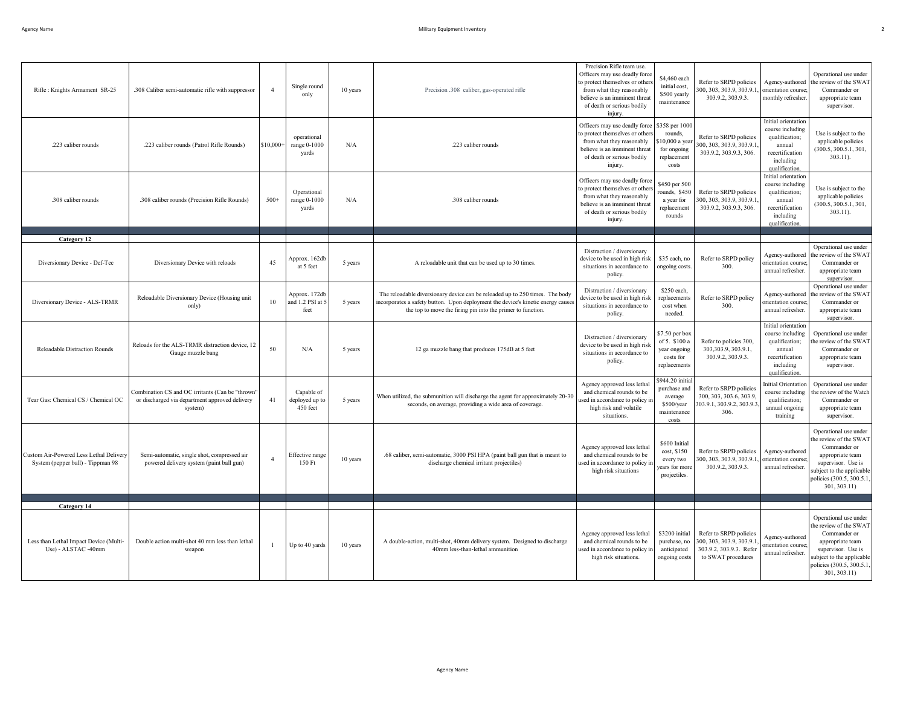| Rifle: Knights Armament SR-25                                                | .308 Caliber semi-automatic rifle with suppressor                                                             | $\overline{4}$ | Single round<br>only                      | 10 years | Precision .308 caliber, gas-operated rifle                                                                                                                                                                                     | Precision Rifle team use.<br>Officers may use deadly force<br>to protect themselves or other<br>from what they reasonably<br>believe is an imminent threat<br>of death or serious bodily<br>iniury | \$4,460 each<br>initial cost,<br>\$500 yearly<br>maintenance                      | Refer to SRPD policies<br>00, 303, 303.9, 303.9.1<br>303.9.2, 303.9.3                              | Agency-authored<br>orientation course.<br>monthly refresher.                                                          | Operational use under<br>the review of the SWAT<br>Commander or<br>appropriate team<br>supervisor.                                                                                 |
|------------------------------------------------------------------------------|---------------------------------------------------------------------------------------------------------------|----------------|-------------------------------------------|----------|--------------------------------------------------------------------------------------------------------------------------------------------------------------------------------------------------------------------------------|----------------------------------------------------------------------------------------------------------------------------------------------------------------------------------------------------|-----------------------------------------------------------------------------------|----------------------------------------------------------------------------------------------------|-----------------------------------------------------------------------------------------------------------------------|------------------------------------------------------------------------------------------------------------------------------------------------------------------------------------|
| .223 caliber rounds                                                          | .223 caliber rounds (Patrol Rifle Rounds)                                                                     | \$10,000+      | operational<br>range 0-1000<br>yards      | N/A      | .223 caliber rounds                                                                                                                                                                                                            | Officers may use deadly force<br>to protect themselves or others<br>from what they reasonably<br>believe is an imminent threat<br>of death or serious bodily<br>injury.                            | \$358 per 1000<br>rounds,<br>10,000 a year<br>for ongoing<br>replacement<br>costs | Refer to SRPD policies<br>300, 303, 303.9, 303.9.1<br>303.9.2, 303.9.3, 306.                       | Initial orientation<br>course including<br>qualification;<br>annual<br>recertification<br>including<br>qualification. | Use is subject to the<br>applicable policies<br>(300.5, 300.5.1, 301)<br>$303.11$ ).                                                                                               |
| .308 caliber rounds                                                          | .308 caliber rounds (Precision Rifle Rounds)                                                                  | $500+$         | Operational<br>range 0-1000<br>yards      | N/A      | .308 caliber rounds                                                                                                                                                                                                            | Officers may use deadly force<br>to protect themselves or others<br>from what they reasonably<br>believe is an imminent threat<br>of death or serious bodily<br>injury.                            | \$450 per 500<br>rounds, \$450<br>a year for<br>replacement<br>rounds             | Refer to SRPD policies<br>300, 303, 303.9, 303.9.1<br>303.9.2, 303.9.3, 306.                       | Initial orientation<br>course including<br>qualification;<br>annual<br>recertification<br>including<br>qualification  | Use is subject to the<br>applicable policies<br>(300.5, 300.5.1, 301)<br>$303.11$ ).                                                                                               |
| Category 12                                                                  |                                                                                                               |                |                                           |          |                                                                                                                                                                                                                                |                                                                                                                                                                                                    |                                                                                   |                                                                                                    |                                                                                                                       |                                                                                                                                                                                    |
| Diversionary Device - Def-Tec                                                | Diversionary Device with reloads                                                                              | 45             | Approx. 162db<br>at 5 feet                | 5 years  | A reloadable unit that can be used up to 30 times.                                                                                                                                                                             | Distraction / diversionary<br>device to be used in high risk<br>situations in accordance to<br>policy.                                                                                             | \$35 each, no<br>ongoing costs.                                                   | Refer to SRPD policy<br>300.                                                                       | Agency-authored<br>prientation course;<br>annual refresher.                                                           | Operational use under<br>the review of the SWAT<br>Commander or<br>appropriate team<br>supervisor.                                                                                 |
| Diversionary Device - ALS-TRMR                                               | Reloadable Diversionary Device (Housing unit<br>only)                                                         | 10             | Approx. 172db<br>and 1.2 PSI at 5<br>feet | 5 years  | The reloadable diversionary device can be reloaded up to 250 times. The body<br>incorporates a safety button. Upon deployment the device's kinetic energy cause<br>the top to move the firing pin into the primer to function. | Distraction / diversionary<br>device to be used in high risk<br>situations in accordance to<br>policy.                                                                                             | \$250 each,<br>replacements<br>cost when<br>needed.                               | Refer to SRPD policy<br>300.                                                                       | Agency-authored<br>prientation course<br>annual refresher.                                                            | Operational use under<br>the review of the SWAT<br>Commander or<br>appropriate team<br>supervisor.                                                                                 |
| Reloadable Distraction Rounds                                                | Reloads for the ALS-TRMR distraction device, 12<br>Gauge muzzle bang                                          | 50             | N/A                                       | 5 years  | 12 ga muzzle bang that produces 175dB at 5 feet                                                                                                                                                                                | Distraction / diversionary<br>device to be used in high risl<br>situations in accordance to<br>policy.                                                                                             | \$7.50 per box<br>of 5. \$100 a<br>year ongoing<br>costs for<br>replacements      | Refer to policies 300,<br>303,303.9, 303.9.1,<br>303.9.2, 303.9.3.                                 | Initial orientation<br>course including<br>qualification;<br>annual<br>recertification<br>including<br>qualification. | Operational use under<br>he review of the SWAT<br>Commander or<br>appropriate team<br>supervisor.                                                                                  |
| Tear Gas: Chemical CS / Chemical OC                                          | Combination CS and OC irritants (Can be "thrown'<br>or discharged via department approved delivery<br>system) | 41             | Capable of<br>deployed up to<br>450 feet  | 5 years  | When utilized, the submunition will discharge the agent for approximately 20-30<br>seconds, on average, providing a wide area of coverage.                                                                                     | Agency approved less letha<br>and chemical rounds to be<br>used in accordance to policy i<br>high risk and volatile<br>situations.                                                                 | \$944.20 initial<br>purchase and<br>average<br>\$500/year<br>maintenance<br>costs | Refer to SRPD policies<br>300, 303, 303.6, 303.9,<br>303.9.1, 303.9.2, 303.9.3.<br>306.            | Initial Orientation<br>course including<br>qualification;<br>annual ongoing<br>training                               | Operational use under<br>the review of the Watch<br>Commander or<br>appropriate team<br>supervisor.                                                                                |
| Custom Air-Powered Less Lethal Delivery<br>System (pepper ball) - Tippman 98 | Semi-automatic, single shot, compressed air<br>powered delivery system (paint ball gun)                       | $\overline{4}$ | Effective range<br>150 Ft                 | 10 years | .68 caliber, semi-automatic, 3000 PSI HPA (paint ball gun that is meant to<br>discharge chemical irritant projectiles)                                                                                                         | Agency approved less lethal<br>and chemical rounds to be<br>used in accordance to policy i<br>high risk situations                                                                                 | \$600 Initial<br>cost, \$150<br>every two<br>years for mor<br>projectiles.        | Refer to SRPD policies<br>300, 303, 303.9, 303.9.1<br>303.9.2, 303.9.3.                            | Agency-authored<br>prientation course.<br>annual refresher.                                                           | Operational use under<br>the review of the SWAT<br>Commander or<br>appropriate team<br>supervisor. Use is<br>subject to the applicable<br>policies (300.5, 300.5.1<br>301, 303.11) |
|                                                                              |                                                                                                               |                |                                           |          |                                                                                                                                                                                                                                |                                                                                                                                                                                                    |                                                                                   |                                                                                                    |                                                                                                                       |                                                                                                                                                                                    |
| Category 14<br>Less than Lethal Impact Device (Multi-<br>Use) - ALSTAC -40mm | Double action multi-shot 40 mm less than lethal<br>weapon                                                     |                | Up to 40 yards                            | 10 years | A double-action, multi-shot, 40mm delivery system. Designed to discharge<br>40mm less-than-lethal ammunition                                                                                                                   | Agency approved less lethal<br>and chemical rounds to be<br>used in accordance to policy in<br>high risk situations.                                                                               | \$3200 initial<br>purchase, no<br>anticipated<br>ongoing costs                    | Refer to SRPD policies<br>300, 303, 303.9, 303.9.<br>303.9.2, 303.9.3. Refer<br>to SWAT procedures | Agency-authored<br>prientation course<br>annual refresher.                                                            | Operational use under<br>the review of the SWAT<br>Commander or<br>appropriate team<br>supervisor. Use is<br>ubject to the applicable<br>policies (300.5, 300.5.1<br>301, 303.11   |